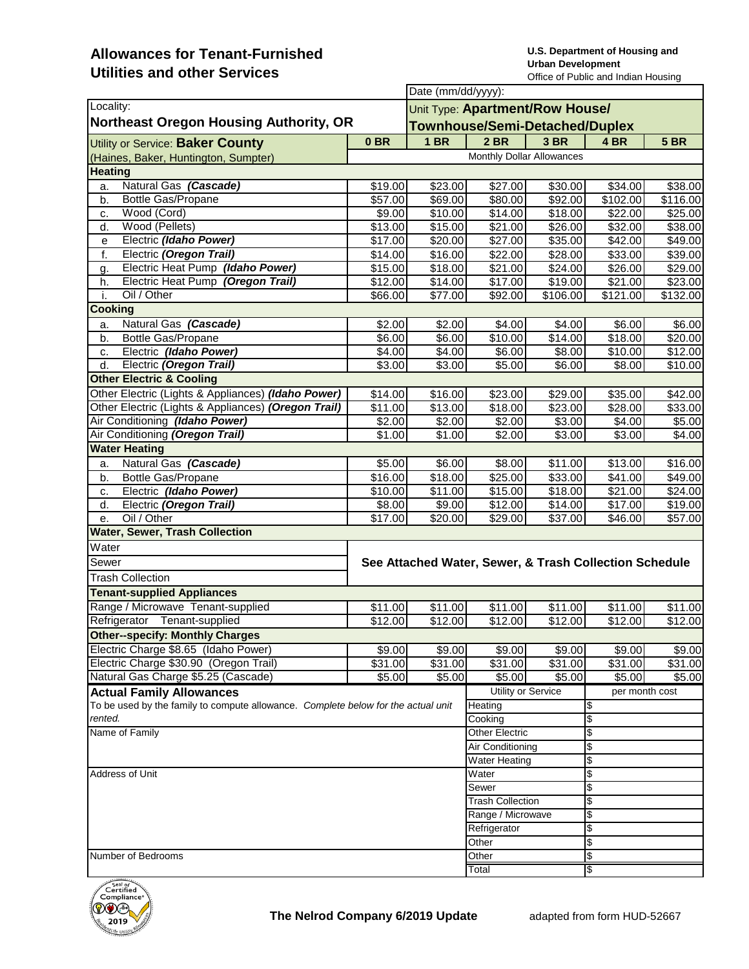## **Allowances for Tenant-Furnished Utilities and other Services**

**U.S. Department of Housing and Urban Development**  Office of Public and Indian Housing

|                                                                                   |                                                        |                   | Date (mm/dd/yyyy):                                                       |                     |                     |          |  |  |
|-----------------------------------------------------------------------------------|--------------------------------------------------------|-------------------|--------------------------------------------------------------------------|---------------------|---------------------|----------|--|--|
| Locality:<br><b>Northeast Oregon Housing Authority, OR</b>                        |                                                        |                   | Unit Type: Apartment/Row House/<br><b>Townhouse/Semi-Detached/Duplex</b> |                     |                     |          |  |  |
|                                                                                   |                                                        |                   |                                                                          |                     |                     |          |  |  |
| Utility or Service: Baker County                                                  |                                                        |                   | Monthly Dollar Allowances                                                |                     |                     |          |  |  |
| (Haines, Baker, Huntington, Sumpter)<br><b>Heating</b>                            |                                                        |                   |                                                                          |                     |                     |          |  |  |
| Natural Gas (Cascade)                                                             | \$19.00                                                | \$23.00           | \$27.00                                                                  | \$30.00             | \$34.00             | \$38.00  |  |  |
| a.<br>Bottle Gas/Propane                                                          | \$57.00                                                | \$69.00           | \$80.00                                                                  | \$92.00             | \$102.00            | \$116.00 |  |  |
| b.<br>Wood (Cord)<br>c.                                                           | \$9.00                                                 | \$10.00           | \$14.00                                                                  | $\overline{$}18.00$ | \$22.00             | \$25.00  |  |  |
| Wood (Pellets)<br>d.                                                              | \$13.00                                                | \$15.00           | \$21.00                                                                  | \$26.00             | \$32.00             | \$38.00  |  |  |
| Electric (Idaho Power)<br>е                                                       | \$17.00                                                | \$20.00           | \$27.00                                                                  | \$35.00             | \$42.00             | \$49.00  |  |  |
| f.<br>Electric (Oregon Trail)                                                     | \$14.00                                                | \$16.00           | \$22.00                                                                  | \$28.00             | \$33.00             | \$39.00  |  |  |
| Electric Heat Pump (Idaho Power)<br>g.                                            | \$15.00                                                | \$18.00           | \$21.00                                                                  | \$24.00             | \$26.00             | \$29.00  |  |  |
| Electric Heat Pump (Oregon Trail)<br>h.                                           | \$12.00                                                | \$14.00           | \$17.00                                                                  | \$19.00             | \$21.00             | \$23.00  |  |  |
| Oil / Other<br>j.                                                                 | 00.365                                                 | \$77.00           | \$92.00                                                                  | \$106.00            | \$121.00            | \$132.00 |  |  |
| <b>Cooking</b>                                                                    |                                                        |                   |                                                                          |                     |                     |          |  |  |
| Natural Gas (Cascade)<br>a.                                                       | $\overline{$}2.00$                                     | \$2.00            | \$4.00                                                                   | \$4.00              | \$6.00              | \$6.00   |  |  |
| <b>Bottle Gas/Propane</b><br>b.                                                   | \$6.00                                                 | \$6.00            | $\overline{$}10.00$                                                      | $\sqrt{$14.00}$     | $\overline{$}18.00$ | \$20.00  |  |  |
| Electric (Idaho Power)<br>c.                                                      | \$4.00                                                 | \$4.00            | \$6.00                                                                   | \$8.00              | \$10.00             | \$12.00  |  |  |
| Electric (Oregon Trail)<br>d.                                                     | \$3.00                                                 | \$3.00            | \$5.00                                                                   | \$6.00              | \$8.00              | \$10.00  |  |  |
| <b>Other Electric &amp; Cooling</b>                                               |                                                        |                   |                                                                          |                     |                     |          |  |  |
| Other Electric (Lights & Appliances) (Idaho Power)                                | \$14.00                                                | \$16.00           | \$23.00                                                                  | \$29.00             | \$35.00             | \$42.00  |  |  |
| Other Electric (Lights & Appliances) (Oregon Trail)                               | \$11.00                                                | \$13.00           | \$18.00                                                                  | \$23.00             | \$28.00             | \$33.00  |  |  |
| Air Conditioning (Idaho Power)                                                    | \$2.00                                                 | \$2.00            | \$2.00                                                                   | \$3.00              | \$4.00              | \$5.00   |  |  |
| Air Conditioning (Oregon Trail)                                                   | $\overline{$}1.00$                                     | \$1.00            | \$2.00                                                                   | \$3.00              | \$3.00              | \$4.00   |  |  |
| <b>Water Heating</b>                                                              |                                                        |                   |                                                                          |                     |                     |          |  |  |
| Natural Gas (Cascade)<br>a.                                                       | \$5.00                                                 | \$6.00            | \$8.00                                                                   | \$11.00             | \$13.00             | \$16.00  |  |  |
| Bottle Gas/Propane<br>b.                                                          | $\overline{$}16.00$                                    | \$18.00           | \$25.00                                                                  | \$33.00             | \$41.00             | \$49.00  |  |  |
| Electric (Idaho Power)<br>c.                                                      | \$10.00]                                               | \$11.00           | \$15.00                                                                  | \$18.00             | \$21.00             | \$24.00  |  |  |
| Electric (Oregon Trail)<br>d.                                                     | \$8.00                                                 | \$9.00            | \$12.00                                                                  | \$14.00             | \$17.00             | \$19.00  |  |  |
| Oil / Other<br>е.                                                                 | $\sqrt{$17.00}$                                        | \$20.00           | \$29.00                                                                  | \$37.00             | \$46.00             | \$57.00  |  |  |
| <b>Water, Sewer, Trash Collection</b>                                             |                                                        |                   |                                                                          |                     |                     |          |  |  |
| Water                                                                             |                                                        |                   |                                                                          |                     |                     |          |  |  |
| Sewer                                                                             |                                                        |                   |                                                                          |                     |                     |          |  |  |
|                                                                                   | See Attached Water, Sewer, & Trash Collection Schedule |                   |                                                                          |                     |                     |          |  |  |
| <b>Trash Collection</b>                                                           |                                                        |                   |                                                                          |                     |                     |          |  |  |
| <b>Tenant-supplied Appliances</b>                                                 |                                                        |                   |                                                                          |                     |                     |          |  |  |
| Range / Microwave Tenant-supplied                                                 | \$11.00                                                | \$11.00           | \$11.00                                                                  | \$11.00             | \$11.00             | \$11.00  |  |  |
| Refrigerator Tenant-supplied                                                      | \$12.00                                                | $\sqrt{$12.00}$   | \$12.00                                                                  | \$12.00             | \$12.00             | \$12.00  |  |  |
| <b>Other--specify: Monthly Charges</b>                                            |                                                        |                   |                                                                          |                     |                     |          |  |  |
| Electric Charge \$8.65 (Idaho Power)                                              | \$9.00                                                 | \$9.00            | \$9.00                                                                   | \$9.00              | \$9.00              | \$9.00   |  |  |
| Electric Charge \$30.90 (Oregon Trail)                                            | $\overline{$}31.00$                                    | \$31.00           | $\overline{$}31.00$                                                      | \$31.00             | \$31.00             | \$31.00  |  |  |
| Natural Gas Charge \$5.25 (Cascade)                                               | \$5.00                                                 | \$5.00            | \$5.00                                                                   | \$5.00              | \$5.00              | \$5.00   |  |  |
| <b>Actual Family Allowances</b>                                                   |                                                        |                   | Utility or Service                                                       |                     | per month cost      |          |  |  |
| To be used by the family to compute allowance. Complete below for the actual unit |                                                        |                   | Heating                                                                  |                     | \$                  |          |  |  |
| rented.<br>Name of Family                                                         |                                                        |                   | Cooking<br>Other Electric                                                |                     | \$                  |          |  |  |
|                                                                                   |                                                        |                   |                                                                          |                     | \$                  |          |  |  |
|                                                                                   |                                                        |                   | Air Conditioning                                                         |                     | \$                  |          |  |  |
|                                                                                   |                                                        |                   | \$<br><b>Water Heating</b>                                               |                     |                     |          |  |  |
| Address of Unit                                                                   |                                                        |                   | Water                                                                    |                     | \$                  |          |  |  |
|                                                                                   |                                                        |                   | Sewer                                                                    |                     | \$                  |          |  |  |
|                                                                                   |                                                        |                   | <b>Trash Collection</b>                                                  |                     | \$                  |          |  |  |
|                                                                                   |                                                        | Range / Microwave |                                                                          | \$                  |                     |          |  |  |
|                                                                                   |                                                        | Refrigerator      |                                                                          | \$                  |                     |          |  |  |
|                                                                                   |                                                        |                   | Other                                                                    |                     | \$                  |          |  |  |
| Number of Bedrooms                                                                |                                                        |                   | Other                                                                    |                     | \$                  |          |  |  |
|                                                                                   |                                                        |                   | Total                                                                    |                     | l\$                 |          |  |  |

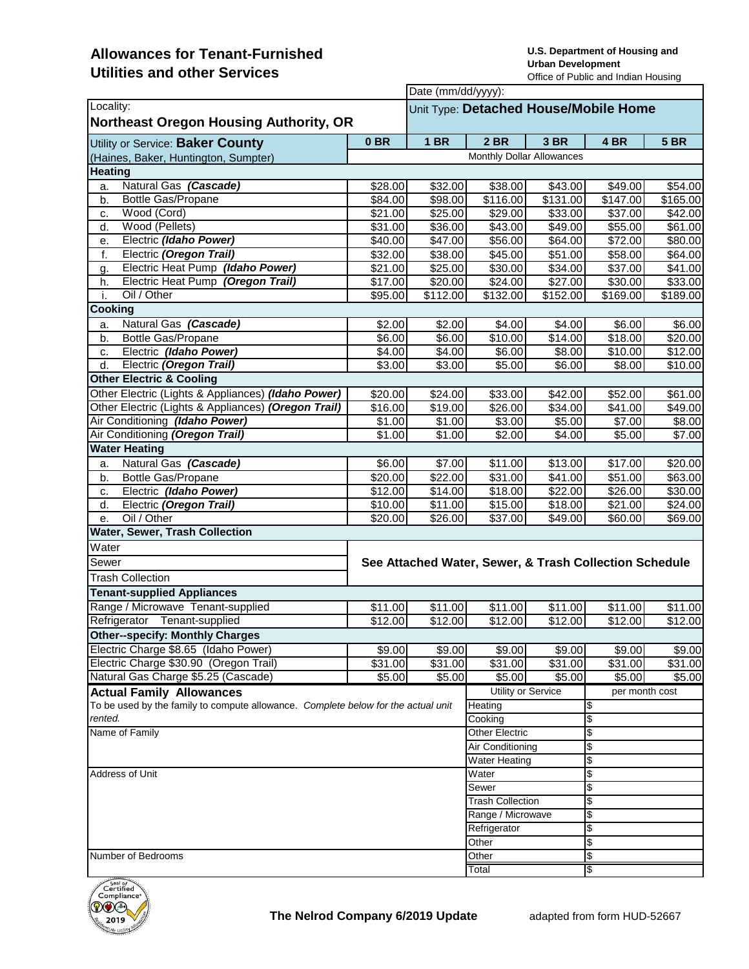## **Allowances for Tenant-Furnished Utilities and other Services**

**U.S. Department of Housing and Urban Development**  Office of Public and Indian Housing

|                                                                                   |                                                        |                     | Date (mm/dd/yyyy):                    |                     |                      |             |  |  |
|-----------------------------------------------------------------------------------|--------------------------------------------------------|---------------------|---------------------------------------|---------------------|----------------------|-------------|--|--|
| Locality:                                                                         |                                                        |                     | Unit Type: Detached House/Mobile Home |                     |                      |             |  |  |
| <b>Northeast Oregon Housing Authority, OR</b>                                     |                                                        |                     |                                       |                     |                      |             |  |  |
| Utility or Service: Baker County                                                  | 0 <sub>BR</sub>                                        | <b>1 BR</b>         | <b>2 BR</b>                           | <b>3 BR</b>         | 4 BR                 | <b>5 BR</b> |  |  |
| (Haines, Baker, Huntington, Sumpter)                                              |                                                        |                     | Monthly Dollar Allowances             |                     |                      |             |  |  |
| <b>Heating</b>                                                                    |                                                        |                     |                                       |                     |                      |             |  |  |
| Natural Gas (Cascade)<br>a.                                                       | \$28.00                                                | \$32.00             | \$38.00                               | \$43.00             | \$49.00              | \$54.00     |  |  |
| <b>Bottle Gas/Propane</b><br>b.                                                   | $\overline{$84.00}$                                    | \$98.00             | $\overline{$}116.00$                  | \$131.00            | $\overline{$}147.00$ | \$165.00    |  |  |
| Wood (Cord)<br>c.                                                                 | \$21.00                                                | \$25.00             | \$29.00                               | \$33.00             | \$37.00              | \$42.00     |  |  |
| Wood (Pellets)<br>d.                                                              | \$31.00                                                | \$36.00             | \$43.00                               | \$49.00             | \$55.00              | \$61.00     |  |  |
| Electric (Idaho Power)<br>е.                                                      | \$40.00                                                | \$47.00             | \$56.00                               | \$64.00             | \$72.00              | \$80.00     |  |  |
| f.<br>Electric (Oregon Trail)                                                     | \$32.00                                                | \$38.00             | \$45.00                               | \$51.00             | \$58.00              | \$64.00     |  |  |
| Electric Heat Pump (Idaho Power)<br>g.                                            | \$21.00                                                | \$25.00             | \$30.00                               | \$34.00             | \$37.00              | \$41.00     |  |  |
| Electric Heat Pump (Oregon Trail)<br>h.                                           | \$17.00                                                | \$20.00             | \$24.00                               | \$27.00             | \$30.00              | \$33.00     |  |  |
| Oil / Other<br>i.                                                                 | \$95.00                                                | \$112.00            | \$132.00                              | \$152.00            | \$169.00             | \$189.00    |  |  |
| Cooking                                                                           |                                                        |                     |                                       |                     |                      |             |  |  |
| Natural Gas (Cascade)<br>a.                                                       | \$2.00                                                 | \$2.00              | \$4.00                                | \$4.00              | \$6.00               | \$6.00      |  |  |
| Bottle Gas/Propane<br>b.                                                          | \$6.00                                                 | \$6.00              | \$10.00                               | $\overline{$}14.00$ | $\overline{$}18.00$  | \$20.00     |  |  |
| Electric (Idaho Power)<br>c.                                                      | \$4.00]                                                | \$4.00              | \$6.00                                | \$8.00              | \$10.00              | \$12.00     |  |  |
| Electric (Oregon Trail)<br>d.                                                     | \$3.00                                                 | \$3.00              | \$5.00                                | \$6.00              | \$8.00               | \$10.00     |  |  |
| <b>Other Electric &amp; Cooling</b>                                               |                                                        |                     |                                       |                     |                      |             |  |  |
| Other Electric (Lights & Appliances) (Idaho Power)                                | \$20.00]                                               | \$24.00             | \$33.00                               | \$42.00             | \$52.00              | \$61.00     |  |  |
| Other Electric (Lights & Appliances) (Oregon Trail)                               | \$16.00                                                | \$19.00             | \$26.00                               | \$34.00             | \$41.00              | \$49.00     |  |  |
| Air Conditioning (Idaho Power)                                                    | \$1.00                                                 | \$1.00              | 33.00                                 | \$5.00              | \$7.00               | \$8.00      |  |  |
| Air Conditioning (Oregon Trail)                                                   | \$1.00                                                 | \$1.00              | \$2.00                                | \$4.00              | \$5.00               | \$7.00      |  |  |
| <b>Water Heating</b>                                                              |                                                        |                     |                                       |                     |                      |             |  |  |
| Natural Gas (Cascade)<br>a.                                                       | \$6.00                                                 | \$7.00              | \$11.00                               | \$13.00             | \$17.00              | \$20.00     |  |  |
| Bottle Gas/Propane<br>b.                                                          | \$20.00                                                | $\overline{$}22.00$ | \$31.00                               | \$41.00             | \$51.00              | \$63.00     |  |  |
| Electric (Idaho Power)<br>c.                                                      | $\overline{$}12.00$                                    | \$14.00             | \$18.00                               | \$22.00             | \$26.00              | \$30.00     |  |  |
| Electric (Oregon Trail)<br>d.                                                     | \$10.00                                                | \$11.00             | \$15.00                               | \$18.00             | \$21.00              | \$24.00     |  |  |
| Oil / Other<br>е.                                                                 | \$20.00]                                               | \$26.00             | \$37.00                               | \$49.00             | \$60.00              | \$69.00     |  |  |
| Water, Sewer, Trash Collection                                                    |                                                        |                     |                                       |                     |                      |             |  |  |
| Water                                                                             |                                                        |                     |                                       |                     |                      |             |  |  |
| Sewer                                                                             | See Attached Water, Sewer, & Trash Collection Schedule |                     |                                       |                     |                      |             |  |  |
| <b>Trash Collection</b>                                                           |                                                        |                     |                                       |                     |                      |             |  |  |
| <b>Tenant-supplied Appliances</b>                                                 |                                                        |                     |                                       |                     |                      |             |  |  |
| Range / Microwave Tenant-supplied                                                 | \$11.00                                                | \$11.00             | \$11.00                               | \$11.00             | \$11.00              | \$11.00     |  |  |
| Refrigerator Tenant-supplied                                                      | \$12.00                                                | \$12.00             | \$12.00                               | \$12.00             | \$12.00              | \$12.00     |  |  |
| <b>Other--specify: Monthly Charges</b>                                            |                                                        |                     |                                       |                     |                      |             |  |  |
| Electric Charge \$8.65 (Idaho Power)                                              | \$9.00                                                 | \$9.00              | \$9.00                                | \$9.00              | \$9.00               | \$9.00      |  |  |
| Electric Charge \$30.90 (Oregon Trail)                                            | \$31.00                                                | \$31.00             | \$31.00                               | \$31.00             | \$31.00              | \$31.00     |  |  |
| Natural Gas Charge \$5.25 (Cascade)                                               | \$5.00                                                 | \$5.00              | \$5.00                                | \$5.00              | \$5.00               | \$5.00      |  |  |
| <b>Actual Family Allowances</b>                                                   |                                                        |                     | Utility or Service                    |                     | per month cost       |             |  |  |
| To be used by the family to compute allowance. Complete below for the actual unit |                                                        |                     | Heating                               |                     | \$                   |             |  |  |
| rented.                                                                           |                                                        |                     | Cooking                               |                     | \$                   |             |  |  |
| Name of Family                                                                    |                                                        |                     | <b>Other Electric</b>                 |                     | \$                   |             |  |  |
|                                                                                   |                                                        |                     | Air Conditioning                      |                     | \$                   |             |  |  |
|                                                                                   |                                                        |                     | <b>Water Heating</b>                  |                     | \$                   |             |  |  |
| Address of Unit                                                                   |                                                        |                     | Water                                 |                     | \$                   |             |  |  |
|                                                                                   |                                                        |                     | Sewer                                 |                     | \$                   |             |  |  |
|                                                                                   |                                                        |                     | <b>Trash Collection</b>               |                     | \$                   |             |  |  |
|                                                                                   |                                                        |                     | Range / Microwave                     |                     | \$                   |             |  |  |
|                                                                                   |                                                        |                     | Refrigerator                          |                     | \$                   |             |  |  |
|                                                                                   |                                                        |                     | Other                                 |                     | \$                   |             |  |  |
| Number of Bedrooms                                                                |                                                        |                     | Other                                 |                     | \$                   |             |  |  |
|                                                                                   |                                                        |                     | Total                                 |                     | \$                   |             |  |  |